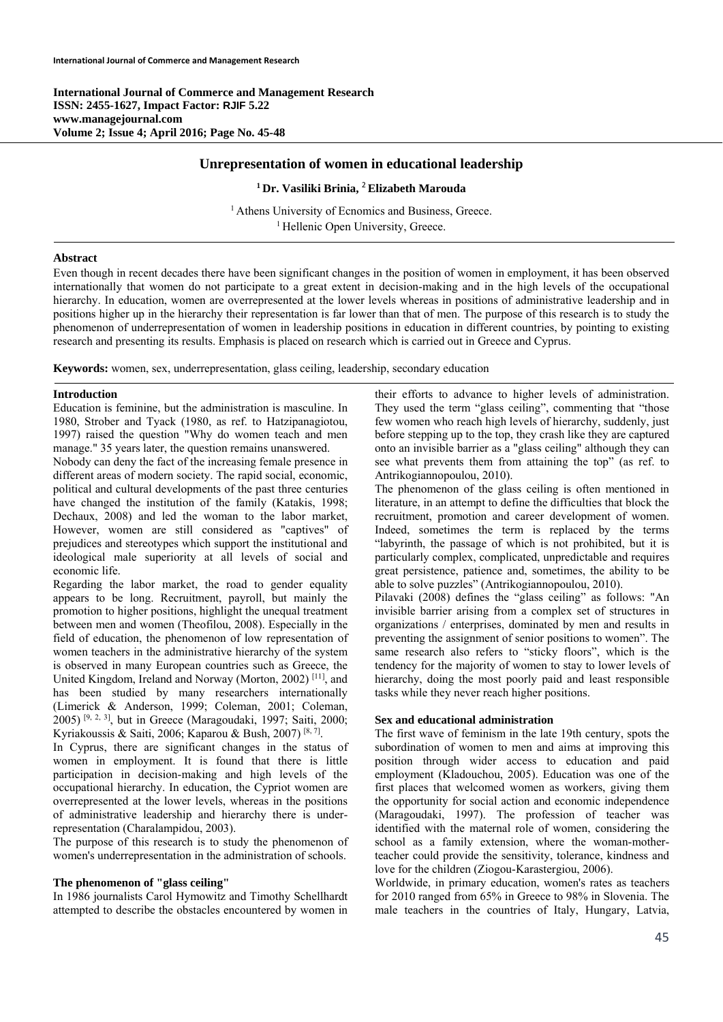**International Journal of Commerce and Management Research ISSN: 2455-1627, Impact Factor: RJIF 5.22 www.managejournal.com Volume 2; Issue 4; April 2016; Page No. 45-48** 

# **Unrepresentation of women in educational leadership**

# **1 Dr. Vasiliki Brinia,** <sup>2</sup>**Elizabeth Marouda**

<sup>1</sup> Athens University of Ecnomics and Business, Greece.<br><sup>1</sup> Hellenic Open University, Greece.

## **Abstract**

Even though in recent decades there have been significant changes in the position of women in employment, it has been observed internationally that women do not participate to a great extent in decision-making and in the high levels of the occupational hierarchy. In education, women are overrepresented at the lower levels whereas in positions of administrative leadership and in positions higher up in the hierarchy their representation is far lower than that of men. The purpose of this research is to study the phenomenon of underrepresentation of women in leadership positions in education in different countries, by pointing to existing research and presenting its results. Emphasis is placed on research which is carried out in Greece and Cyprus.

**Keywords:** women, sex, underrepresentation, glass ceiling, leadership, secondary education

#### **Introduction**

Education is feminine, but the administration is masculine. In 1980, Strober and Tyack (1980, as ref. to Hatzipanagiotou, 1997) raised the question "Why do women teach and men manage." 35 years later, the question remains unanswered.

Nobody can deny the fact of the increasing female presence in different areas of modern society. The rapid social, economic, political and cultural developments of the past three centuries have changed the institution of the family (Katakis, 1998; Dechaux, 2008) and led the woman to the labor market, However, women are still considered as "captives" of prejudices and stereotypes which support the institutional and ideological male superiority at all levels of social and economic life.

Regarding the labor market, the road to gender equality appears to be long. Recruitment, payroll, but mainly the promotion to higher positions, highlight the unequal treatment between men and women (Theofilou, 2008). Especially in the field of education, the phenomenon of low representation of women teachers in the administrative hierarchy of the system is observed in many European countries such as Greece, the United Kingdom, Ireland and Norway (Morton, 2002) [11], and has been studied by many researchers internationally (Limerick & Anderson, 1999; Coleman, 2001; Coleman, 2005) <sup>[9, 2, 3]</sup>, but in Greece (Maragoudaki, 1997; Saiti, 2000; Kyriakoussis & Saiti, 2006; Kaparou & Bush, 2007) [8,7].

In Cyprus, there are significant changes in the status of women in employment. Ιt is found that there is little participation in decision-making and high levels of the occupational hierarchy. In education, the Cypriot women are overrepresented at the lower levels, whereas in the positions of administrative leadership and hierarchy there is underrepresentation (Charalampidou, 2003).

The purpose of this research is to study the phenomenon of women's underrepresentation in the administration of schools.

## **The phenomenon of "glass ceiling"**

In 1986 journalists Carol Hymowitz and Timothy Schellhardt attempted to describe the obstacles encountered by women in their efforts to advance to higher levels of administration. They used the term "glass ceiling", commenting that "those few women who reach high levels of hierarchy, suddenly, just before stepping up to the top, they crash like they are captured onto an invisible barrier as a "glass ceiling" although they can see what prevents them from attaining the top" (as ref. to Antrikogiannopoulou, 2010).

The phenomenon of the glass ceiling is often mentioned in literature, in an attempt to define the difficulties that block the recruitment, promotion and career development of women. Indeed, sometimes the term is replaced by the terms "labyrinth, the passage of which is not prohibited, but it is particularly complex, complicated, unpredictable and requires great persistence, patience and, sometimes, the ability to be able to solve puzzles" (Antrikogiannopoulou, 2010).

Pilavaki (2008) defines the "glass ceiling" as follows: "An invisible barrier arising from a complex set of structures in organizations / enterprises, dominated by men and results in preventing the assignment of senior positions to women". The same research also refers to "sticky floors", which is the tendency for the majority of women to stay to lower levels of hierarchy, doing the most poorly paid and least responsible tasks while they never reach higher positions.

## **Sex and educational administration**

The first wave of feminism in the late 19th century, spots the subordination of women to men and aims at improving this position through wider access to education and paid employment (Kladouchou, 2005). Education was one of the first places that welcomed women as workers, giving them the opportunity for social action and economic independence (Maragoudaki, 1997). The profession of teacher was identified with the maternal role of women, considering the school as a family extension, where the woman-motherteacher could provide the sensitivity, tolerance, kindness and love for the children (Ziogou-Karastergiou, 2006).

Worldwide, in primary education, women's rates as teachers for 2010 ranged from 65% in Greece to 98% in Slovenia. The male teachers in the countries of Italy, Hungary, Latvia,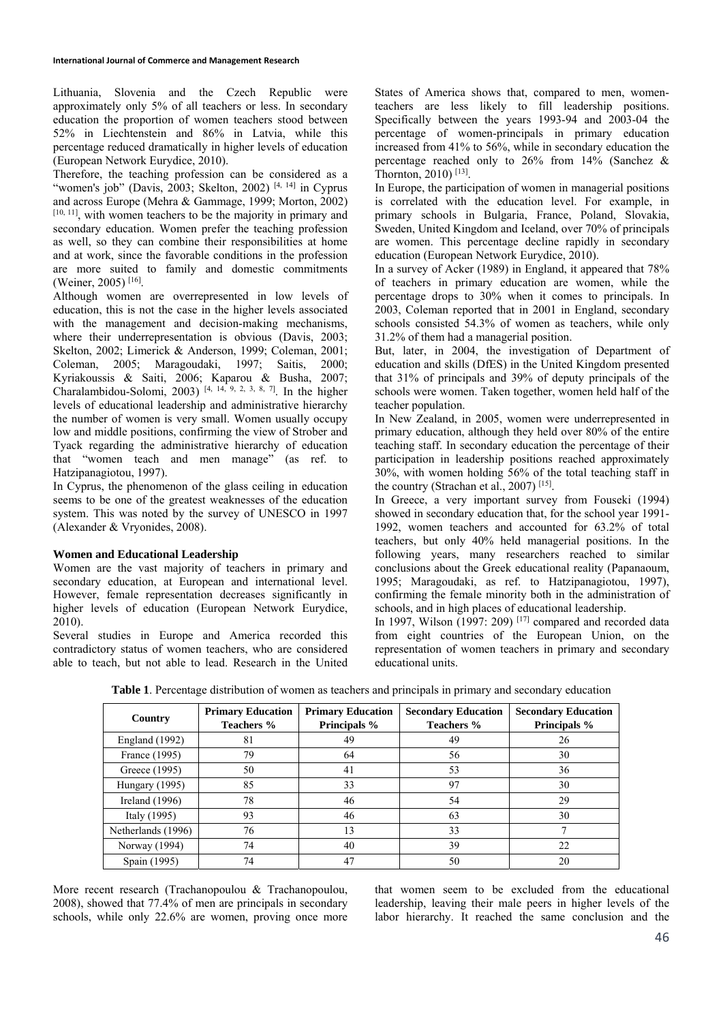Lithuania, Slovenia and the Czech Republic were approximately only 5% of all teachers or less. In secondary education the proportion of women teachers stood between 52% in Liechtenstein and 86% in Latvia, while this percentage reduced dramatically in higher levels of education (European Network Eurydice, 2010).

Therefore, the teaching profession can be considered as a "women's job" (Davis, 2003; Skelton, 2002)  $[4, 14]$  in Cyprus and across Europe (Mehra & Gammage, 1999; Morton, 2002) [10, 11], with women teachers to be the majority in primary and secondary education. Women prefer the teaching profession as well, so they can combine their responsibilities at home and at work, since the favorable conditions in the profession are more suited to family and domestic commitments (Weiner, 2005) [16].

Although women are overrepresented in low levels of education, this is not the case in the higher levels associated with the management and decision-making mechanisms, where their underrepresentation is obvious (Davis, 2003; Skelton, 2002; Limerick & Anderson, 1999; Coleman, 2001; Coleman, 2005; Maragoudaki, 1997; Saitis, 2000; Kyriakoussis & Saiti, 2006; Kaparou & Busha, 2007; Charalambidou-Solomi, 2003)<sup>[4, 14, 9, 2, 3, 8, 7]</sup>. In the higher levels of educational leadership and administrative hierarchy the number of women is very small. Women usually occupy low and middle positions, confirming the view of Strober and Tyack regarding the administrative hierarchy of education that "women teach and men manage" (as ref. to Hatzipanagiotou, 1997).

In Cyprus, the phenomenon of the glass ceiling in education seems to be one of the greatest weaknesses of the education system. This was noted by the survey of UNESCO in 1997 (Alexander & Vryonides, 2008).

# **Women and Educational Leadership**

Women are the vast majority of teachers in primary and secondary education, at European and international level. However, female representation decreases significantly in higher levels of education (European Network Eurydice, 2010).

Several studies in Europe and America recorded this contradictory status of women teachers, who are considered able to teach, but not able to lead. Research in the United States of America shows that, compared to men, womenteachers are less likely to fill leadership positions. Specifically between the years 1993-94 and 2003-04 the percentage of women-principals in primary education increased from 41% to 56%, while in secondary education the percentage reached only to  $26\%$  from  $14\%$  (Sanchez & Thornton, 2010) [13].

In Europe, the participation of women in managerial positions is correlated with the education level. For example, in primary schools in Bulgaria, France, Poland, Slovakia, Sweden, United Kingdom and Iceland, over 70% of principals are women. This percentage decline rapidly in secondary education (European Network Eurydice, 2010).

In a survey of Acker (1989) in England, it appeared that 78% of teachers in primary education are women, while the percentage drops to 30% when it comes to principals. In 2003, Coleman reported that in 2001 in England, secondary schools consisted 54.3% of women as teachers, while only 31.2% of them had a managerial position.

But, later, in 2004, the investigation of Department of education and skills (DfES) in the United Kingdom presented that 31% of principals and 39% of deputy principals of the schools were women. Taken together, women held half of the teacher population.

In New Zealand, in 2005, women were underrepresented in primary education, although they held over 80% of the entire teaching staff. In secondary education the percentage of their participation in leadership positions reached approximately 30%, with women holding 56% of the total teaching staff in the country (Strachan et al., 2007)<sup>[15]</sup>.

Ιn Greece, a very important survey from Fouseki (1994) showed in secondary education that, for the school year 1991- 1992, women teachers and accounted for 63.2% of total teachers, but only 40% held managerial positions. In the following years, many researchers reached to similar conclusions about the Greek educational reality (Papanaoum, 1995; Maragoudaki, as ref. to Hatzipanagiotou, 1997), confirming the female minority both in the administration of schools, and in high places of educational leadership.

In 1997, Wilson  $(1997: 209)$  [17] compared and recorded data from eight countries of the European Union, on the representation of women teachers in primary and secondary educational units.

| Country               | <b>Primary Education</b><br>Teachers % | <b>Primary Education</b><br>Principals % | <b>Secondary Education</b><br>Teachers % | <b>Secondary Education</b><br>Principals % |
|-----------------------|----------------------------------------|------------------------------------------|------------------------------------------|--------------------------------------------|
| <b>England</b> (1992) | 81                                     | 49                                       | 49                                       | 26                                         |
| France (1995)         | 79                                     | 64                                       | 56                                       | 30                                         |
| Greece (1995)         | 50                                     | 41                                       | 53                                       | 36                                         |
| Hungary (1995)        | 85                                     | 33                                       | 97                                       | 30                                         |
| Ireland $(1996)$      | 78                                     | 46                                       | 54                                       | 29                                         |
| Italy (1995)          | 93                                     | 46                                       | 63                                       | 30                                         |
| Netherlands (1996)    | 76                                     | 13                                       | 33                                       |                                            |
| Norway (1994)         | 74                                     | 40                                       | 39                                       | 22                                         |
| Spain (1995)          | 74                                     | 47                                       | 50                                       | 20                                         |

**Table 1**. Percentage distribution of women as teachers and principals in primary and secondary education

More recent research (Trachanopoulou & Trachanopoulou, 2008), showed that 77.4% of men are principals in secondary schools, while only 22.6% are women, proving once more that women seem to be excluded from the educational leadership, leaving their male peers in higher levels of the labor hierarchy. It reached the same conclusion and the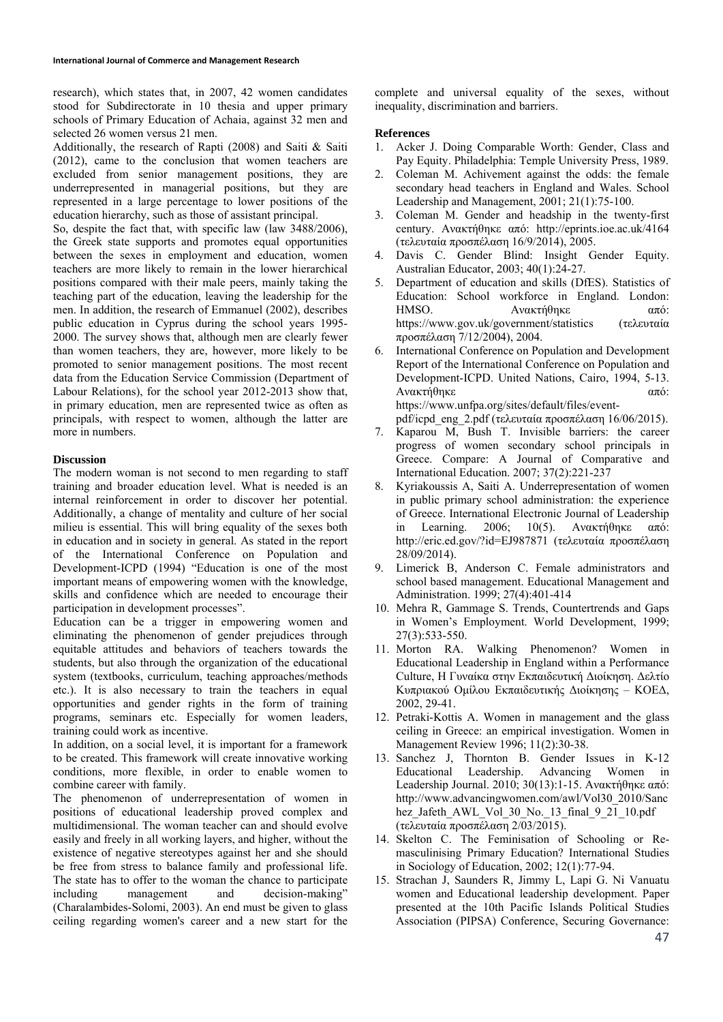research), which states that, in 2007, 42 women candidates stood for Subdirectorate in 10 thesia and upper primary schools of Primary Education of Achaia, against 32 men and selected 26 women versus 21 men.

Additionally, the research of Rapti (2008) and Saiti & Saiti (2012), came to the conclusion that women teachers are excluded from senior management positions, they are underrepresented in managerial positions, but they are represented in a large percentage to lower positions of the education hierarchy, such as those of assistant principal.

So, despite the fact that, with specific law (law 3488/2006). the Greek state supports and promotes equal opportunities between the sexes in employment and education, women teachers are more likely to remain in the lower hierarchical positions compared with their male peers, mainly taking the teaching part of the education, leaving the leadership for the men. In addition, the research of Emmanuel (2002), describes public education in Cyprus during the school years 1995- 2000. The survey shows that, although men are clearly fewer than women teachers, they are, however, more likely to be promoted to senior management positions. The most recent data from the Education Service Commission (Department of Labour Relations), for the school year 2012-2013 show that, in primary education, men are represented twice as often as principals, with respect to women, although the latter are more in numbers.

## **Discussion**

The modern woman is not second to men regarding to staff training and broader education level. What is needed is an internal reinforcement in order to discover her potential. Additionally, a change of mentality and culture of her social milieu is essential. This will bring equality of the sexes both in education and in society in general. As stated in the report of the International Conference on Population and Development-ICPD (1994) "Education is one of the most important means of empowering women with the knowledge, skills and confidence which are needed to encourage their participation in development processes".

Education can be a trigger in empowering women and eliminating the phenomenon of gender prejudices through equitable attitudes and behaviors of teachers towards the students, but also through the organization of the educational system (textbooks, curriculum, teaching approaches/methods etc.). It is also necessary to train the teachers in equal opportunities and gender rights in the form of training programs, seminars etc. Especially for women leaders, training could work as incentive.

In addition, on a social level, it is important for a framework to be created. This framework will create innovative working conditions, more flexible, in order to enable women to combine career with family.

The phenomenon of underrepresentation of women in positions of educational leadership proved complex and multidimensional. The woman teacher can and should evolve easily and freely in all working layers, and higher, without the existence of negative stereotypes against her and she should be free from stress to balance family and professional life. The state has to offer to the woman the chance to participate including management and decision-making" (Charalambides-Solomi, 2003). An end must be given to glass ceiling regarding women's career and a new start for the

complete and universal equality of the sexes, without inequality, discrimination and barriers.

### **References**

- 1. Acker J. Doing Comparable Worth: Gender, Class and Pay Equity. Philadelphia: Temple University Press, 1989.
- 2. Coleman M. Achivement against the odds: the female secondary head teachers in England and Wales. School Leadership and Management, 2001; 21(1):75-100.
- 3. Coleman M. Gender and headship in the twenty-first century. Ανακτήθηκε από: http://eprints.ioe.ac.uk/4164 (τελευταία προσπέλαση 16/9/2014), 2005.
- 4. Davis C. Gender Blind: Insight Gender Equity. Australian Educator, 2003; 40(1):24-27.
- 5. Department of education and skills (DfES). Statistics of Education: School workforce in England. London: HMSO. Aνακτήθηκε από: https://www.gov.uk/government/statistics (τελευταία προσπέλαση 7/12/2004), 2004.
- International Conference on Population and Development Report of the International Conference on Population and Development-ICPD. United Nations, Cairo, 1994, 5-13. Ανακτήθηκε από: https://www.unfpa.org/sites/default/files/event-
- pdf/icpd\_eng\_2.pdf (τελευταία προσπέλαση 16/06/2015). 7. Kaparou M, Bush T. Invisible barriers: the career progress of women secondary school principals in Greece. Compare: A Journal of Comparative and International Education. 2007; 37(2):221-237
- 8. Kyriakoussis A, Saiti A. Underrepresentation of women in public primary school administration: the experience of Greece. International Electronic Journal of Leadership in Learning. 2006; 10(5). Ανακτήθηκε από: http://eric.ed.gov/?id=EJ987871 (τελευταία προσπέλαση 28/09/2014).
- 9. Limerick B, Anderson C. Female administrators and school based management. Educational Management and Administration. 1999; 27(4):401-414
- 10. Mehra R, Gammage S. Trends, Countertrends and Gaps in Women's Employment. World Development, 1999; 27(3):533-550.
- 11. Morton RA. Walking Phenomenon? Women in Educational Leadership in England within a Performance Culture, Η Γυναίκα στην Εκπαιδευτική Διοίκηση. Δελτίο Κυπριακού Ομίλου Εκπαιδευτικής Διοίκησης – ΚΟΕΔ, 2002, 29-41.
- 12. Petraki-Kottis A. Women in management and the glass ceiling in Greece: an empirical investigation. Women in Management Review 1996; 11(2):30-38.
- 13. Sanchez J, Thornton B. Gender Issues in K-12 Educational Leadership. Advancing Women in Leadership Journal. 2010; 30(13):1-15. Ανακτήθηκε από: http://www.advancingwomen.com/awl/Vol30\_2010/Sanc hez Jafeth AWL\_Vol\_30\_No.\_13\_final\_9\_21\_10.pdf (τελευταία προσπέλαση 2/03/2015).
- 14. Skelton C. The Feminisation of Schooling or Remasculinising Primary Education? International Studies in Sociology of Education, 2002; 12(1):77-94.
- 15. Strachan J, Saunders R, Jimmy L, Lapi G. Ni Vanuatu women and Educational leadership development. Paper presented at the 10th Pacific Islands Political Studies Association (PIPSA) Conference, Securing Governance: